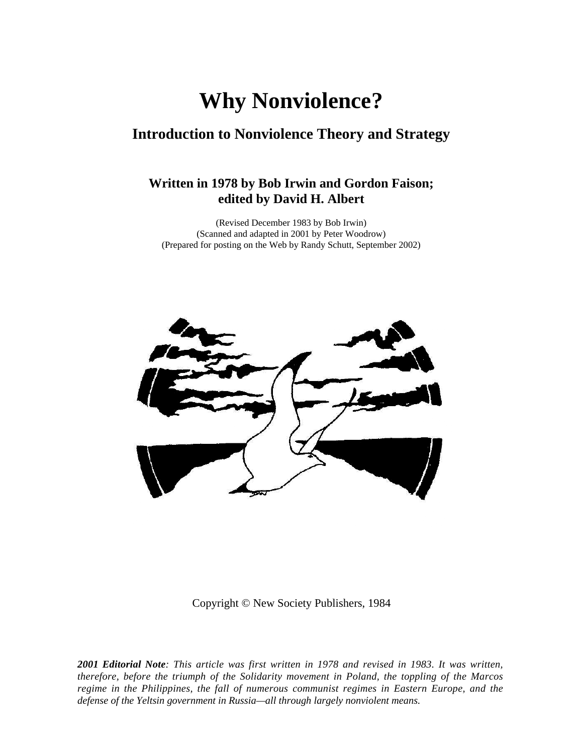# **Why Nonviolence?**

# **Introduction to Nonviolence Theory and Strategy**

### **Written in 1978 by Bob Irwin and Gordon Faison; edited by David H. Albert**

(Revised December 1983 by Bob Irwin) (Scanned and adapted in 2001 by Peter Woodrow) (Prepared for posting on the Web by Randy Schutt, September 2002)



Copyright © New Society Publishers, 1984

*2001 Editorial Note: This article was first written in 1978 and revised in 1983. It was written, therefore, before the triumph of the Solidarity movement in Poland, the toppling of the Marcos regime in the Philippines, the fall of numerous communist regimes in Eastern Europe, and the defense of the Yeltsin government in Russia—all through largely nonviolent means.*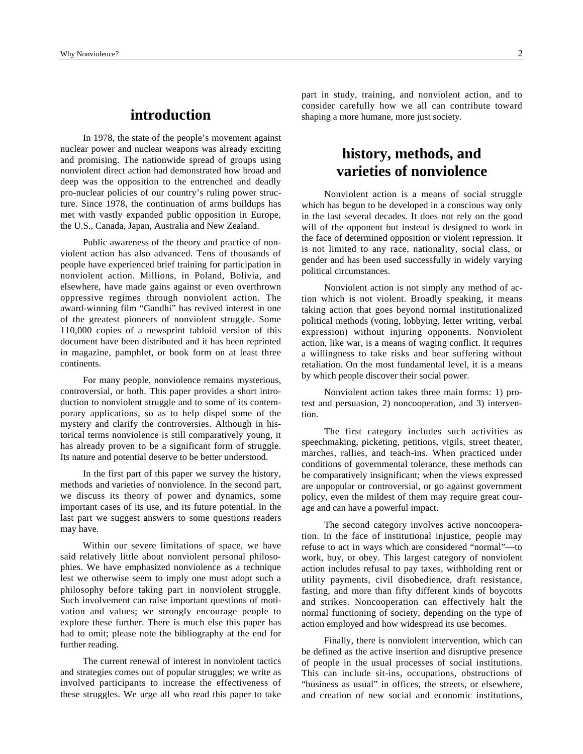### **introduction**

In 1978, the state of the people's movement against nuclear power and nuclear weapons was already exciting and promising. The nationwide spread of groups using nonviolent direct action had demonstrated how broad and deep was the opposition to the entrenched and deadly pro-nuclear policies of our country's ruling power structure. Since 1978, the continuation of arms buildups has met with vastly expanded public opposition in Europe, the U.S., Canada, Japan, Australia and New Zealand.

Public awareness of the theory and practice of nonviolent action has also advanced. Tens of thousands of people have experienced brief training for participation in nonviolent action. Millions, in Poland, Bolivia, and elsewhere, have made gains against or even overthrown oppressive regimes through nonviolent action. The award-winning film "Gandhi" has revived interest in one of the greatest pioneers of nonviolent struggle. Some 110,000 copies of a newsprint tabloid version of this document have been distributed and it has been reprinted in magazine, pamphlet, or book form on at least three continents.

For many people, nonviolence remains mysterious, controversial, or both. This paper provides a short introduction to nonviolent struggle and to some of its contemporary applications, so as to help dispel some of the mystery and clarify the controversies. Although in historical terms nonviolence is still comparatively young, it has already proven to be a significant form of struggle. Its nature and potential deserve to be better understood.

In the first part of this paper we survey the history, methods and varieties of nonviolence. In the second part, we discuss its theory of power and dynamics, some important cases of its use, and its future potential. In the last part we suggest answers to some questions readers may have.

Within our severe limitations of space, we have said relatively little about nonviolent personal philosophies. We have emphasized nonviolence as a technique lest we otherwise seem to imply one must adopt such a philosophy before taking part in nonviolent struggle. Such involvement can raise important questions of motivation and values; we strongly encourage people to explore these further. There is much else this paper has had to omit; please note the bibliography at the end for further reading.

The current renewal of interest in nonviolent tactics and strategies comes out of popular struggles; we write as involved participants to increase the effectiveness of these struggles. We urge all who read this paper to take

part in study, training, and nonviolent action, and to consider carefully how we all can contribute toward shaping a more humane, more just society.

## **history, methods, and varieties of nonviolence**

Nonviolent action is a means of social struggle which has begun to be developed in a conscious way only in the last several decades. It does not rely on the good will of the opponent but instead is designed to work in the face of determined opposition or violent repression. It is not limited to any race, nationality, social class, or gender and has been used successfully in widely varying political circumstances.

Nonviolent action is not simply any method of action which is not violent. Broadly speaking, it means taking action that goes beyond normal institutionalized political methods (voting, lobbying, letter writing, verbal expression) without injuring opponents. Nonviolent action, like war, is a means of waging conflict. It requires a willingness to take risks and bear suffering without retaliation. On the most fundamental level, it is a means by which people discover their social power.

Nonviolent action takes three main forms: 1) protest and persuasion, 2) noncooperation, and 3) intervention.

The first category includes such activities as speechmaking, picketing, petitions, vigils, street theater, marches, rallies, and teach-ins. When practiced under conditions of governmental tolerance, these methods can be comparatively insignificant; when the views expressed are unpopular or controversial, or go against government policy, even the mildest of them may require great courage and can have a powerful impact.

The second category involves active noncooperation. In the face of institutional injustice, people may refuse to act in ways which are considered "normal"—to work, buy, or obey. This largest category of nonviolent action includes refusal to pay taxes, withholding rent or utility payments, civil disobedience, draft resistance, fasting, and more than fifty different kinds of boycotts and strikes. Noncooperation can effectively halt the normal functioning of society, depending on the type of action employed and how widespread its use becomes.

Finally, there is nonviolent intervention, which can be defined as the active insertion and disruptive presence of people in the usual processes of social institutions. This can include sit-ins, occupations, obstructions of "business as usual" in offices, the streets, or elsewhere, and creation of new social and economic institutions,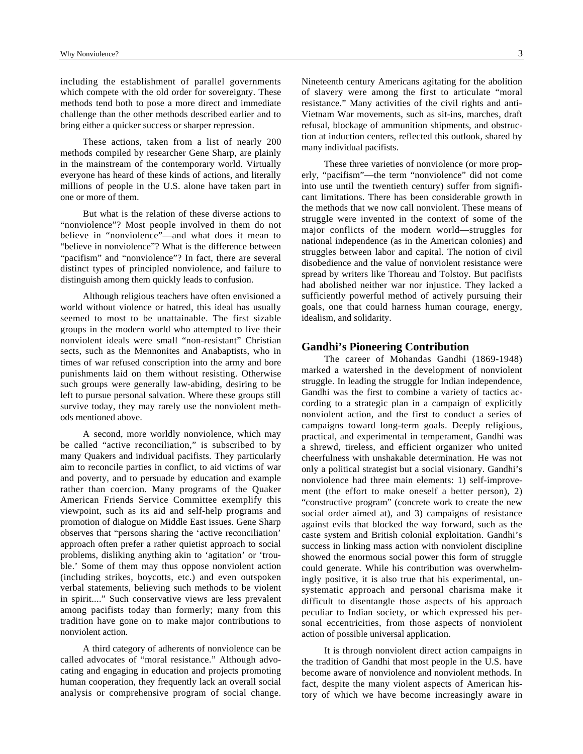including the establishment of parallel governments which compete with the old order for sovereignty. These methods tend both to pose a more direct and immediate challenge than the other methods described earlier and to bring either a quicker success or sharper repression.

These actions, taken from a list of nearly 200 methods compiled by researcher Gene Sharp, are plainly in the mainstream of the contemporary world. Virtually everyone has heard of these kinds of actions, and literally millions of people in the U.S. alone have taken part in one or more of them.

But what is the relation of these diverse actions to "nonviolence"? Most people involved in them do not believe in "nonviolence"—and what does it mean to "believe in nonviolence"? What is the difference between "pacifism" and "nonviolence"? In fact, there are several distinct types of principled nonviolence, and failure to distinguish among them quickly leads to confusion.

Although religious teachers have often envisioned a world without violence or hatred, this ideal has usually seemed to most to be unattainable. The first sizable groups in the modern world who attempted to live their nonviolent ideals were small "non-resistant" Christian sects, such as the Mennonites and Anabaptists, who in times of war refused conscription into the army and bore punishments laid on them without resisting. Otherwise such groups were generally law-abiding, desiring to be left to pursue personal salvation. Where these groups still survive today, they may rarely use the nonviolent methods mentioned above.

A second, more worldly nonviolence, which may be called "active reconciliation," is subscribed to by many Quakers and individual pacifists. They particularly aim to reconcile parties in conflict, to aid victims of war and poverty, and to persuade by education and example rather than coercion. Many programs of the Quaker American Friends Service Committee exemplify this viewpoint, such as its aid and self-help programs and promotion of dialogue on Middle East issues. Gene Sharp observes that "persons sharing the 'active reconciliation' approach often prefer a rather quietist approach to social problems, disliking anything akin to 'agitation' or 'trouble.' Some of them may thus oppose nonviolent action (including strikes, boycotts, etc.) and even outspoken verbal statements, believing such methods to be violent in spirit...." Such conservative views are less prevalent among pacifists today than formerly; many from this tradition have gone on to make major contributions to nonviolent action.

A third category of adherents of nonviolence can be called advocates of "moral resistance." Although advocating and engaging in education and projects promoting human cooperation, they frequently lack an overall social analysis or comprehensive program of social change. Nineteenth century Americans agitating for the abolition of slavery were among the first to articulate "moral resistance." Many activities of the civil rights and anti-Vietnam War movements, such as sit-ins, marches, draft refusal, blockage of ammunition shipments, and obstruction at induction centers, reflected this outlook, shared by many individual pacifists.

These three varieties of nonviolence (or more properly, "pacifism"—the term "nonviolence" did not come into use until the twentieth century) suffer from significant limitations. There has been considerable growth in the methods that we now call nonviolent. These means of struggle were invented in the context of some of the major conflicts of the modern world—struggles for national independence (as in the American colonies) and struggles between labor and capital. The notion of civil disobedience and the value of nonviolent resistance were spread by writers like Thoreau and Tolstoy. But pacifists had abolished neither war nor injustice. They lacked a sufficiently powerful method of actively pursuing their goals, one that could harness human courage, energy, idealism, and solidarity.

#### **Gandhi's Pioneering Contribution**

The career of Mohandas Gandhi (1869-1948) marked a watershed in the development of nonviolent struggle. In leading the struggle for Indian independence, Gandhi was the first to combine a variety of tactics according to a strategic plan in a campaign of explicitly nonviolent action, and the first to conduct a series of campaigns toward long-term goals. Deeply religious, practical, and experimental in temperament, Gandhi was a shrewd, tireless, and efficient organizer who united cheerfulness with unshakable determination. He was not only a political strategist but a social visionary. Gandhi's nonviolence had three main elements: 1) self-improvement (the effort to make oneself a better person), 2) "constructive program" (concrete work to create the new social order aimed at), and 3) campaigns of resistance against evils that blocked the way forward, such as the caste system and British colonial exploitation. Gandhi's success in linking mass action with nonviolent discipline showed the enormous social power this form of struggle could generate. While his contribution was overwhelmingly positive, it is also true that his experimental, unsystematic approach and personal charisma make it difficult to disentangle those aspects of his approach peculiar to Indian society, or which expressed his personal eccentricities, from those aspects of nonviolent action of possible universal application.

It is through nonviolent direct action campaigns in the tradition of Gandhi that most people in the U.S. have become aware of nonviolence and nonviolent methods. In fact, despite the many violent aspects of American history of which we have become increasingly aware in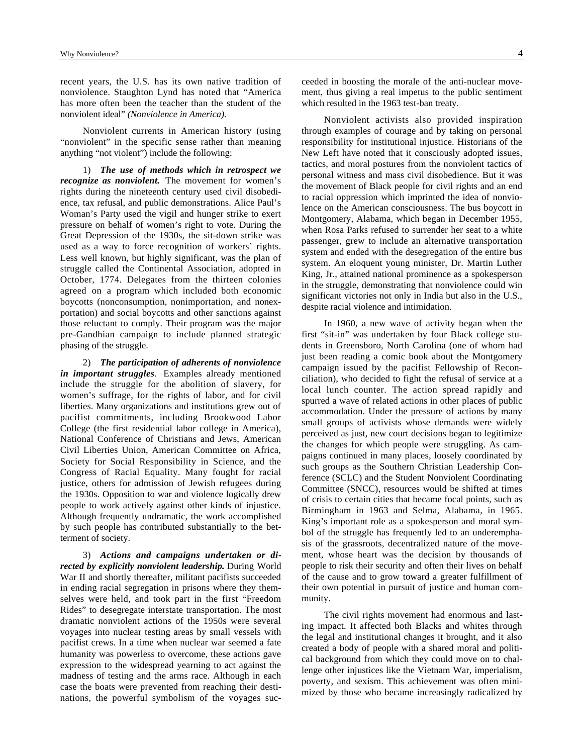recent years, the U.S. has its own native tradition of nonviolence. Staughton Lynd has noted that "America has more often been the teacher than the student of the nonviolent ideal" *(Nonviolence in America).*

Nonviolent currents in American history (using "nonviolent" in the specific sense rather than meaning anything "not violent") include the following:

1) *The use of methods which in retrospect we recognize as nonviolent.* The movement for women's rights during the nineteenth century used civil disobedience, tax refusal, and public demonstrations. Alice Paul's Woman's Party used the vigil and hunger strike to exert pressure on behalf of women's right to vote. During the Great Depression of the 1930s, the sit-down strike was used as a way to force recognition of workers' rights. Less well known, but highly significant, was the plan of struggle called the Continental Association, adopted in October, 1774. Delegates from the thirteen colonies agreed on a program which included both economic boycotts (nonconsumption, nonimportation, and nonexportation) and social boycotts and other sanctions against those reluctant to comply. Their program was the major pre-Gandhian campaign to include planned strategic phasing of the struggle.

2) *The participation of adherents of nonviolence in important struggles.* Examples already mentioned include the struggle for the abolition of slavery, for women's suffrage, for the rights of labor, and for civil liberties. Many organizations and institutions grew out of pacifist commitments, including Brookwood Labor College (the first residential labor college in America), National Conference of Christians and Jews, American Civil Liberties Union, American Committee on Africa, Society for Social Responsibility in Science, and the Congress of Racial Equality. Many fought for racial justice, others for admission of Jewish refugees during the 1930s. Opposition to war and violence logically drew people to work actively against other kinds of injustice. Although frequently undramatic, the work accomplished by such people has contributed substantially to the betterment of society.

3) *Actions and campaigns undertaken or directed by explicitly nonviolent leadership.* During World War II and shortly thereafter, militant pacifists succeeded in ending racial segregation in prisons where they themselves were held, and took part in the first "Freedom Rides" to desegregate interstate transportation. The most dramatic nonviolent actions of the 1950s were several voyages into nuclear testing areas by small vessels with pacifist crews. In a time when nuclear war seemed a fate humanity was powerless to overcome, these actions gave expression to the widespread yearning to act against the madness of testing and the arms race. Although in each case the boats were prevented from reaching their destinations, the powerful symbolism of the voyages succeeded in boosting the morale of the anti-nuclear movement, thus giving a real impetus to the public sentiment which resulted in the 1963 test-ban treaty.

Nonviolent activists also provided inspiration through examples of courage and by taking on personal responsibility for institutional injustice. Historians of the New Left have noted that it consciously adopted issues, tactics, and moral postures from the nonviolent tactics of personal witness and mass civil disobedience. But it was the movement of Black people for civil rights and an end to racial oppression which imprinted the idea of nonviolence on the American consciousness. The bus boycott in Montgomery, Alabama, which began in December 1955, when Rosa Parks refused to surrender her seat to a white passenger, grew to include an alternative transportation system and ended with the desegregation of the entire bus system. An eloquent young minister, Dr. Martin Luther King, Jr., attained national prominence as a spokesperson in the struggle, demonstrating that nonviolence could win significant victories not only in India but also in the U.S., despite racial violence and intimidation.

In 1960, a new wave of activity began when the first "sit-in" was undertaken by four Black college students in Greensboro, North Carolina (one of whom had just been reading a comic book about the Montgomery campaign issued by the pacifist Fellowship of Reconciliation), who decided to fight the refusal of service at a local lunch counter. The action spread rapidly and spurred a wave of related actions in other places of public accommodation. Under the pressure of actions by many small groups of activists whose demands were widely perceived as just, new court decisions began to legitimize the changes for which people were struggling. As campaigns continued in many places, loosely coordinated by such groups as the Southern Christian Leadership Conference (SCLC) and the Student Nonviolent Coordinating Committee (SNCC), resources would be shifted at times of crisis to certain cities that became focal points, such as Birmingham in 1963 and Selma, Alabama, in 1965. King's important role as a spokesperson and moral symbol of the struggle has frequently led to an underemphasis of the grassroots, decentralized nature of the movement, whose heart was the decision by thousands of people to risk their security and often their lives on behalf of the cause and to grow toward a greater fulfillment of their own potential in pursuit of justice and human community.

The civil rights movement had enormous and lasting impact. It affected both Blacks and whites through the legal and institutional changes it brought, and it also created a body of people with a shared moral and political background from which they could move on to challenge other injustices like the Vietnam War, imperialism, poverty, and sexism. This achievement was often minimized by those who became increasingly radicalized by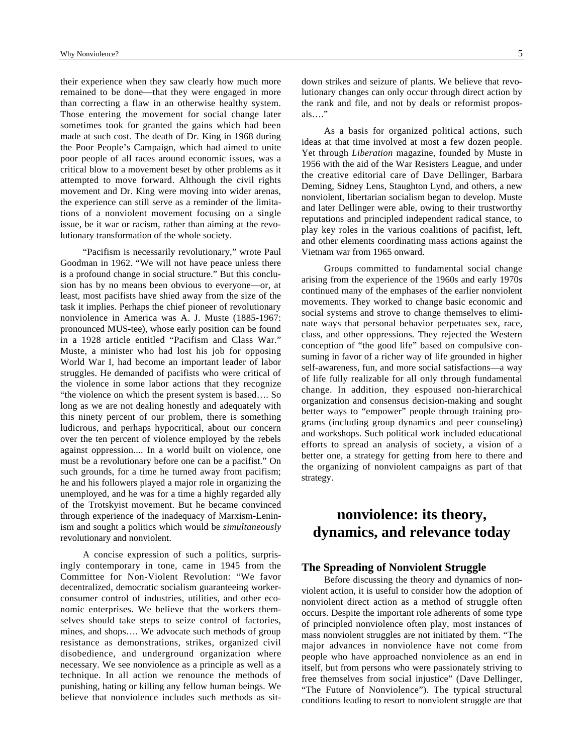their experience when they saw clearly how much more remained to be done—that they were engaged in more than correcting a flaw in an otherwise healthy system. Those entering the movement for social change later sometimes took for granted the gains which had been made at such cost. The death of Dr. King in 1968 during the Poor People's Campaign, which had aimed to unite poor people of all races around economic issues, was a critical blow to a movement beset by other problems as it attempted to move forward. Although the civil rights movement and Dr. King were moving into wider arenas, the experience can still serve as a reminder of the limitations of a nonviolent movement focusing on a single issue, be it war or racism, rather than aiming at the revolutionary transformation of the whole society.

"Pacifism is necessarily revolutionary," wrote Paul Goodman in 1962. "We will not have peace unless there is a profound change in social structure." But this conclusion has by no means been obvious to everyone—or, at least, most pacifists have shied away from the size of the task it implies. Perhaps the chief pioneer of revolutionary nonviolence in America was A. J. Muste (1885-1967: pronounced MUS-tee), whose early position can be found in a 1928 article entitled "Pacifism and Class War." Muste, a minister who had lost his job for opposing World War I, had become an important leader of labor struggles. He demanded of pacifists who were critical of the violence in some labor actions that they recognize "the violence on which the present system is based…. So long as we are not dealing honestly and adequately with this ninety percent of our problem, there is something ludicrous, and perhaps hypocritical, about our concern over the ten percent of violence employed by the rebels against oppression.... In a world built on violence, one must be a revolutionary before one can be a pacifist." On such grounds, for a time he turned away from pacifism; he and his followers played a major role in organizing the unemployed, and he was for a time a highly regarded ally of the Trotskyist movement. But he became convinced through experience of the inadequacy of Marxism-Leninism and sought a politics which would be *simultaneously* revolutionary and nonviolent.

A concise expression of such a politics, surprisingly contemporary in tone, came in 1945 from the Committee for Non-Violent Revolution: "We favor decentralized, democratic socialism guaranteeing workerconsumer control of industries, utilities, and other economic enterprises. We believe that the workers themselves should take steps to seize control of factories, mines, and shops…. We advocate such methods of group resistance as demonstrations, strikes, organized civil disobedience, and underground organization where necessary. We see nonviolence as a principle as well as a technique. In all action we renounce the methods of punishing, hating or killing any fellow human beings. We believe that nonviolence includes such methods as sitdown strikes and seizure of plants. We believe that revolutionary changes can only occur through direct action by the rank and file, and not by deals or reformist proposals…."

As a basis for organized political actions, such ideas at that time involved at most a few dozen people. Yet through *Liberation* magazine, founded by Muste in 1956 with the aid of the War Resisters League, and under the creative editorial care of Dave Dellinger, Barbara Deming, Sidney Lens, Staughton Lynd, and others, a new nonviolent, libertarian socialism began to develop. Muste and later Dellinger were able, owing to their trustworthy reputations and principled independent radical stance, to play key roles in the various coalitions of pacifist, left, and other elements coordinating mass actions against the Vietnam war from 1965 onward.

Groups committed to fundamental social change arising from the experience of the 1960s and early 1970s continued many of the emphases of the earlier nonviolent movements. They worked to change basic economic and social systems and strove to change themselves to eliminate ways that personal behavior perpetuates sex, race, class, and other oppressions. They rejected the Western conception of "the good life" based on compulsive consuming in favor of a richer way of life grounded in higher self-awareness, fun, and more social satisfactions—a way of life fully realizable for all only through fundamental change. In addition, they espoused non-hierarchical organization and consensus decision-making and sought better ways to "empower" people through training programs (including group dynamics and peer counseling) and workshops. Such political work included educational efforts to spread an analysis of society, a vision of a better one, a strategy for getting from here to there and the organizing of nonviolent campaigns as part of that strategy.

## **nonviolence: its theory, dynamics, and relevance today**

#### **The Spreading of Nonviolent Struggle**

Before discussing the theory and dynamics of nonviolent action, it is useful to consider how the adoption of nonviolent direct action as a method of struggle often occurs. Despite the important role adherents of some type of principled nonviolence often play, most instances of mass nonviolent struggles are not initiated by them. "The major advances in nonviolence have not come from people who have approached nonviolence as an end in itself, but from persons who were passionately striving to free themselves from social injustice" (Dave Dellinger, "The Future of Nonviolence"). The typical structural conditions leading to resort to nonviolent struggle are that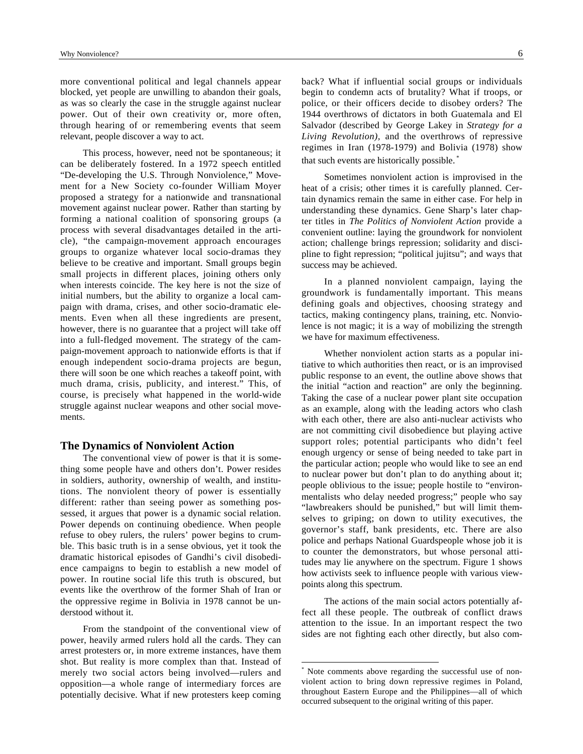more conventional political and legal channels appear blocked, yet people are unwilling to abandon their goals, as was so clearly the case in the struggle against nuclear power. Out of their own creativity or, more often, through hearing of or remembering events that seem relevant, people discover a way to act.

This process, however, need not be spontaneous; it can be deliberately fostered. In a 1972 speech entitled "De-developing the U.S. Through Nonviolence," Movement for a New Society co-founder William Moyer proposed a strategy for a nationwide and transnational movement against nuclear power. Rather than starting by forming a national coalition of sponsoring groups (a process with several disadvantages detailed in the article), "the campaign-movement approach encourages groups to organize whatever local socio-dramas they believe to be creative and important. Small groups begin small projects in different places, joining others only when interests coincide. The key here is not the size of initial numbers, but the ability to organize a local campaign with drama, crises, and other socio-dramatic elements. Even when all these ingredients are present, however, there is no guarantee that a project will take off into a full-fledged movement. The strategy of the campaign-movement approach to nationwide efforts is that if enough independent socio-drama projects are begun, there will soon be one which reaches a takeoff point, with much drama, crisis, publicity, and interest." This, of course, is precisely what happened in the world-wide struggle against nuclear weapons and other social movements.

#### **The Dynamics of Nonviolent Action**

The conventional view of power is that it is something some people have and others don't. Power resides in soldiers, authority, ownership of wealth, and institutions. The nonviolent theory of power is essentially different: rather than seeing power as something possessed, it argues that power is a dynamic social relation. Power depends on continuing obedience. When people refuse to obey rulers, the rulers' power begins to crumble. This basic truth is in a sense obvious, yet it took the dramatic historical episodes of Gandhi's civil disobedience campaigns to begin to establish a new model of power. In routine social life this truth is obscured, but events like the overthrow of the former Shah of Iran or the oppressive regime in Bolivia in 1978 cannot be understood without it.

From the standpoint of the conventional view of power, heavily armed rulers hold all the cards. They can arrest protesters or, in more extreme instances, have them shot. But reality is more complex than that. Instead of merely two social actors being involved—rulers and opposition—a whole range of intermediary forces are potentially decisive. What if new protesters keep coming

back? What if influential social groups or individuals begin to condemn acts of brutality? What if troops, or police, or their officers decide to disobey orders? The 1944 overthrows of dictators in both Guatemala and El Salvador (described by George Lakey in *Strategy for a Living Revolution),* and the overthrows of repressive regimes in Iran (1978-1979) and Bolivia (1978) show that such events are historically possible. \*

Sometimes nonviolent action is improvised in the heat of a crisis; other times it is carefully planned. Certain dynamics remain the same in either case. For help in understanding these dynamics. Gene Sharp's later chapter titles in *The Politics of Nonviolent Action* provide a convenient outline: laying the groundwork for nonviolent action; challenge brings repression; solidarity and discipline to fight repression; "political jujitsu"; and ways that success may be achieved.

In a planned nonviolent campaign, laying the groundwork is fundamentally important. This means defining goals and objectives, choosing strategy and tactics, making contingency plans, training, etc. Nonviolence is not magic; it is a way of mobilizing the strength we have for maximum effectiveness.

Whether nonviolent action starts as a popular initiative to which authorities then react, or is an improvised public response to an event, the outline above shows that the initial "action and reaction" are only the beginning. Taking the case of a nuclear power plant site occupation as an example, along with the leading actors who clash with each other, there are also anti-nuclear activists who are not committing civil disobedience but playing active support roles; potential participants who didn't feel enough urgency or sense of being needed to take part in the particular action; people who would like to see an end to nuclear power but don't plan to do anything about it; people oblivious to the issue; people hostile to "environmentalists who delay needed progress;" people who say "lawbreakers should be punished," but will limit themselves to griping; on down to utility executives, the governor's staff, bank presidents, etc. There are also police and perhaps National Guardspeople whose job it is to counter the demonstrators, but whose personal attitudes may lie anywhere on the spectrum. Figure 1 shows how activists seek to influence people with various viewpoints along this spectrum.

The actions of the main social actors potentially affect all these people. The outbreak of conflict draws attention to the issue. In an important respect the two sides are not fighting each other directly, but also com-

j

<sup>\*</sup> Note comments above regarding the successful use of nonviolent action to bring down repressive regimes in Poland, throughout Eastern Europe and the Philippines—all of which occurred subsequent to the original writing of this paper.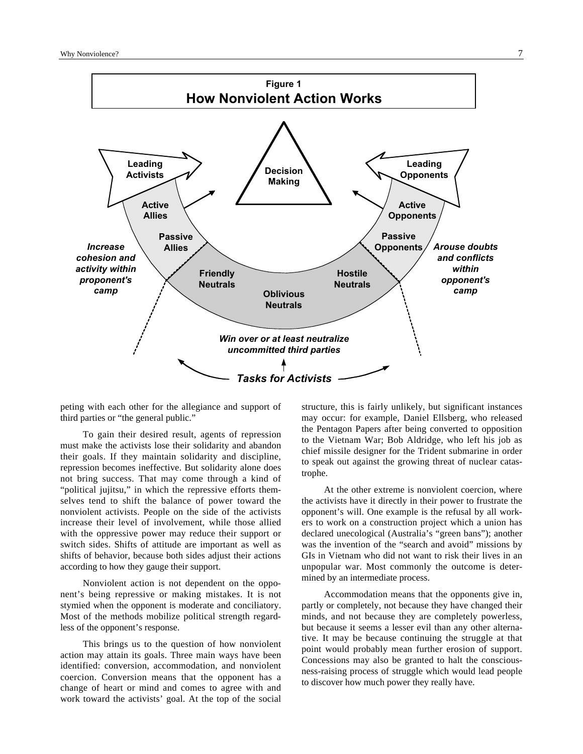

peting with each other for the allegiance and support of third parties or "the general public."

To gain their desired result, agents of repression must make the activists lose their solidarity and abandon their goals. If they maintain solidarity and discipline, repression becomes ineffective. But solidarity alone does not bring success. That may come through a kind of "political jujitsu," in which the repressive efforts themselves tend to shift the balance of power toward the nonviolent activists. People on the side of the activists increase their level of involvement, while those allied with the oppressive power may reduce their support or switch sides. Shifts of attitude are important as well as shifts of behavior, because both sides adjust their actions according to how they gauge their support.

Nonviolent action is not dependent on the opponent's being repressive or making mistakes. It is not stymied when the opponent is moderate and conciliatory. Most of the methods mobilize political strength regardless of the opponent's response.

This brings us to the question of how nonviolent action may attain its goals. Three main ways have been identified: conversion, accommodation, and nonviolent coercion. Conversion means that the opponent has a change of heart or mind and comes to agree with and work toward the activists' goal. At the top of the social

structure, this is fairly unlikely, but significant instances may occur: for example, Daniel Ellsberg, who released the Pentagon Papers after being converted to opposition to the Vietnam War; Bob Aldridge, who left his job as chief missile designer for the Trident submarine in order to speak out against the growing threat of nuclear catastrophe.

At the other extreme is nonviolent coercion, where the activists have it directly in their power to frustrate the opponent's will. One example is the refusal by all workers to work on a construction project which a union has declared unecological (Australia's "green bans"); another was the invention of the "search and avoid" missions by GIs in Vietnam who did not want to risk their lives in an unpopular war. Most commonly the outcome is determined by an intermediate process.

Accommodation means that the opponents give in, partly or completely, not because they have changed their minds, and not because they are completely powerless, but because it seems a lesser evil than any other alternative. It may be because continuing the struggle at that point would probably mean further erosion of support. Concessions may also be granted to halt the consciousness-raising process of struggle which would lead people to discover how much power they really have.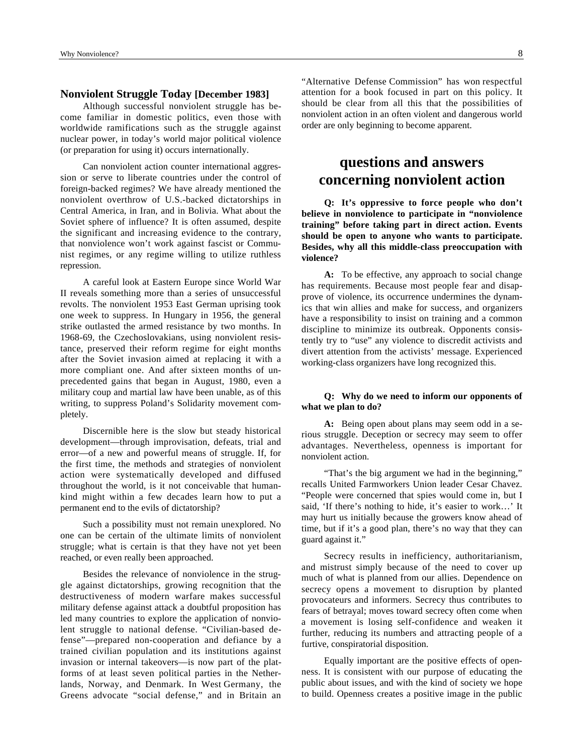#### **Nonviolent Struggle Today [December 1983]**

Although successful nonviolent struggle has become familiar in domestic politics, even those with worldwide ramifications such as the struggle against nuclear power, in today's world major political violence (or preparation for using it) occurs internationally.

Can nonviolent action counter international aggression or serve to liberate countries under the control of foreign-backed regimes? We have already mentioned the nonviolent overthrow of U.S.-backed dictatorships in Central America, in Iran, and in Bolivia. What about the Soviet sphere of influence? It is often assumed, despite the significant and increasing evidence to the contrary, that nonviolence won't work against fascist or Communist regimes, or any regime willing to utilize ruthless repression.

A careful look at Eastern Europe since World War II reveals something more than a series of unsuccessful revolts. The nonviolent 1953 East German uprising took one week to suppress. In Hungary in 1956, the general strike outlasted the armed resistance by two months. In 1968-69, the Czechoslovakians, using nonviolent resistance, preserved their reform regime for eight months after the Soviet invasion aimed at replacing it with a more compliant one. And after sixteen months of unprecedented gains that began in August, 1980, even a military coup and martial law have been unable, as of this writing, to suppress Poland's Solidarity movement completely.

Discernible here is the slow but steady historical development—through improvisation, defeats, trial and error—of a new and powerful means of struggle. If, for the first time, the methods and strategies of nonviolent action were systematically developed and diffused throughout the world, is it not conceivable that humankind might within a few decades learn how to put a permanent end to the evils of dictatorship?

Such a possibility must not remain unexplored. No one can be certain of the ultimate limits of nonviolent struggle; what is certain is that they have not yet been reached, or even really been approached.

Besides the relevance of nonviolence in the struggle against dictatorships, growing recognition that the destructiveness of modern warfare makes successful military defense against attack a doubtful proposition has led many countries to explore the application of nonviolent struggle to national defense. "Civilian-based defense"—prepared non-cooperation and defiance by a trained civilian population and its institutions against invasion or internal takeovers—is now part of the platforms of at least seven political parties in the Netherlands, Norway, and Denmark. In West Germany, the Greens advocate "social defense," and in Britain an

"Alternative Defense Commission" has won respectful attention for a book focused in part on this policy. It should be clear from all this that the possibilities of nonviolent action in an often violent and dangerous world order are only beginning to become apparent.

## **questions and answers concerning nonviolent action**

**Q: It's oppressive to force people who don't believe in nonviolence to participate in "nonviolence training" before taking part in direct action. Events should be open to anyone who wants to participate. Besides, why all this middle-class preoccupation with violence?**

**A:** To be effective, any approach to social change has requirements. Because most people fear and disapprove of violence, its occurrence undermines the dynamics that win allies and make for success, and organizers have a responsibility to insist on training and a common discipline to minimize its outbreak. Opponents consistently try to "use" any violence to discredit activists and divert attention from the activists' message. Experienced working-class organizers have long recognized this.

#### **Q: Why do we need to inform our opponents of what we plan to do?**

**A:** Being open about plans may seem odd in a serious struggle. Deception or secrecy may seem to offer advantages. Nevertheless, openness is important for nonviolent action.

"That's the big argument we had in the beginning," recalls United Farmworkers Union leader Cesar Chavez. "People were concerned that spies would come in, but I said, 'If there's nothing to hide, it's easier to work…' It may hurt us initially because the growers know ahead of time, but if it's a good plan, there's no way that they can guard against it."

Secrecy results in inefficiency, authoritarianism, and mistrust simply because of the need to cover up much of what is planned from our allies. Dependence on secrecy opens a movement to disruption by planted provocateurs and informers. Secrecy thus contributes to fears of betrayal; moves toward secrecy often come when a movement is losing self-confidence and weaken it further, reducing its numbers and attracting people of a furtive, conspiratorial disposition.

Equally important are the positive effects of openness. It is consistent with our purpose of educating the public about issues, and with the kind of society we hope to build. Openness creates a positive image in the public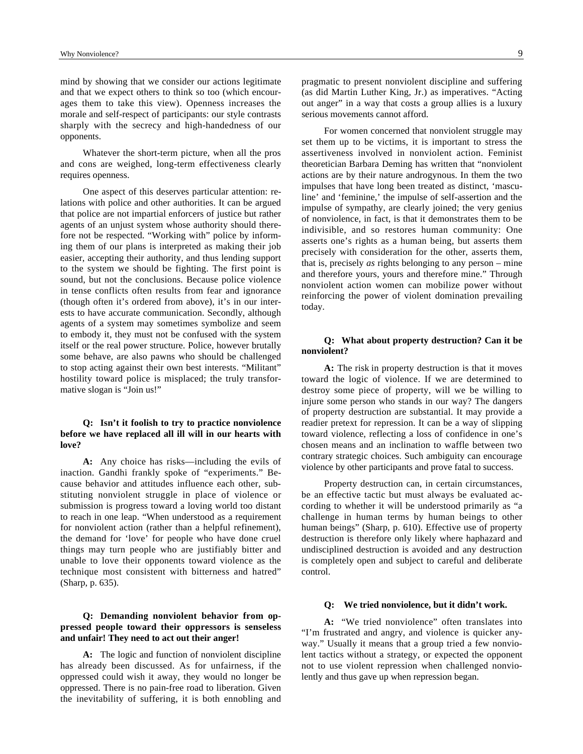mind by showing that we consider our actions legitimate and that we expect others to think so too (which encourages them to take this view). Openness increases the morale and self-respect of participants: our style contrasts sharply with the secrecy and high-handedness of our opponents.

Whatever the short-term picture, when all the pros and cons are weighed, long-term effectiveness clearly requires openness.

One aspect of this deserves particular attention: relations with police and other authorities. It can be argued that police are not impartial enforcers of justice but rather agents of an unjust system whose authority should therefore not be respected. "Working with" police by informing them of our plans is interpreted as making their job easier, accepting their authority, and thus lending support to the system we should be fighting. The first point is sound, but not the conclusions. Because police violence in tense conflicts often results from fear and ignorance (though often it's ordered from above), it's in our interests to have accurate communication. Secondly, although agents of a system may sometimes symbolize and seem to embody it, they must not be confused with the system itself or the real power structure. Police, however brutally some behave, are also pawns who should be challenged to stop acting against their own best interests. "Militant" hostility toward police is misplaced; the truly transformative slogan is "Join us!"

#### **Q: Isn't it foolish to try to practice nonviolence before we have replaced all ill will in our hearts with love?**

**A:** Any choice has risks—including the evils of inaction. Gandhi frankly spoke of "experiments." Because behavior and attitudes influence each other, substituting nonviolent struggle in place of violence or submission is progress toward a loving world too distant to reach in one leap. "When understood as a requirement for nonviolent action (rather than a helpful refinement), the demand for 'love' for people who have done cruel things may turn people who are justifiably bitter and unable to love their opponents toward violence as the technique most consistent with bitterness and hatred" (Sharp, p. 635).

#### **Q: Demanding nonviolent behavior from oppressed people toward their oppressors is senseless and unfair! They need to act out their anger!**

**A:** The logic and function of nonviolent discipline has already been discussed. As for unfairness, if the oppressed could wish it away, they would no longer be oppressed. There is no pain-free road to liberation. Given the inevitability of suffering, it is both ennobling and

pragmatic to present nonviolent discipline and suffering (as did Martin Luther King, Jr.) as imperatives. "Acting out anger" in a way that costs a group allies is a luxury serious movements cannot afford.

For women concerned that nonviolent struggle may set them up to be victims, it is important to stress the assertiveness involved in nonviolent action. Feminist theoretician Barbara Deming has written that "nonviolent actions are by their nature androgynous. In them the two impulses that have long been treated as distinct, 'masculine' and 'feminine,' the impulse of self-assertion and the impulse of sympathy, are clearly joined; the very genius of nonviolence, in fact, is that it demonstrates them to be indivisible, and so restores human community: One asserts one's rights as a human being, but asserts them precisely with consideration for the other, asserts them, that is, precisely *as* rights belonging to any person – mine and therefore yours, yours and therefore mine." Through nonviolent action women can mobilize power without reinforcing the power of violent domination prevailing today.

#### **Q: What about property destruction? Can it be nonviolent?**

**A:** The risk in property destruction is that it moves toward the logic of violence. If we are determined to destroy some piece of property, will we be willing to injure some person who stands in our way? The dangers of property destruction are substantial. It may provide a readier pretext for repression. It can be a way of slipping toward violence, reflecting a loss of confidence in one's chosen means and an inclination to waffle between two contrary strategic choices. Such ambiguity can encourage violence by other participants and prove fatal to success.

Property destruction can, in certain circumstances, be an effective tactic but must always be evaluated according to whether it will be understood primarily as "a challenge in human terms by human beings to other human beings" (Sharp, p. 610). Effective use of property destruction is therefore only likely where haphazard and undisciplined destruction is avoided and any destruction is completely open and subject to careful and deliberate control.

#### **Q: We tried nonviolence, but it didn't work.**

**A:** "We tried nonviolence" often translates into "I'm frustrated and angry, and violence is quicker anyway." Usually it means that a group tried a few nonviolent tactics without a strategy, or expected the opponent not to use violent repression when challenged nonviolently and thus gave up when repression began.